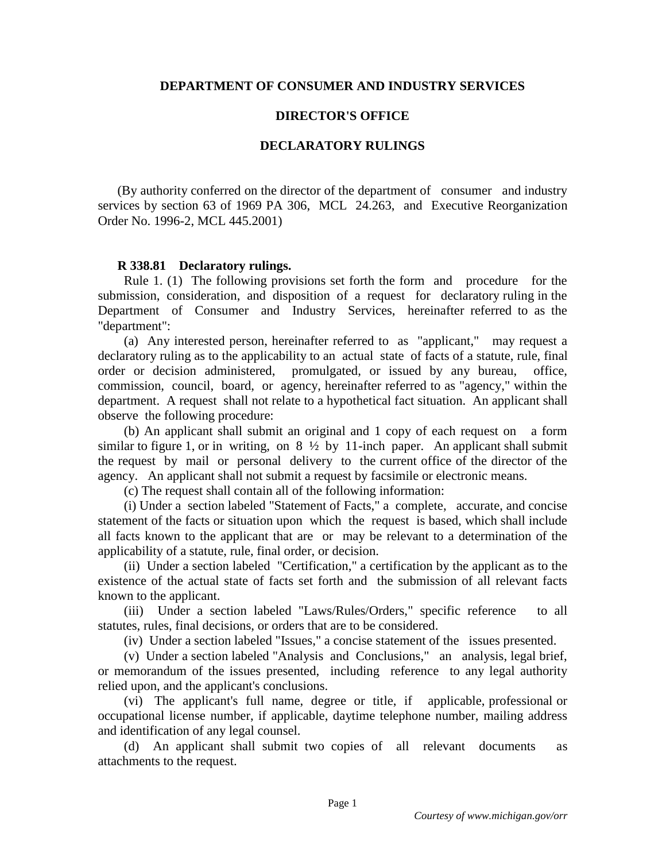## **DEPARTMENT OF CONSUMER AND INDUSTRY SERVICES**

## **DIRECTOR'S OFFICE**

## **DECLARATORY RULINGS**

(By authority conferred on the director of the department of consumer and industry services by section 63 of 1969 PA 306, MCL 24.263, and Executive Reorganization Order No. 1996-2, MCL 445.2001)

## **R 338.81 Declaratory rulings.**

 Rule 1. (1) The following provisions set forth the form and procedure for the submission, consideration, and disposition of a request for declaratory ruling in the Department of Consumer and Industry Services, hereinafter referred to as the "department":

 (a) Any interested person, hereinafter referred to as "applicant," may request a declaratory ruling as to the applicability to an actual state of facts of a statute, rule, final order or decision administered, promulgated, or issued by any bureau, office, commission, council, board, or agency, hereinafter referred to as "agency," within the department. A request shall not relate to a hypothetical fact situation. An applicant shall observe the following procedure:

 (b) An applicant shall submit an original and 1 copy of each request on a form similar to figure 1, or in writing, on  $8\frac{1}{2}$  by 11-inch paper. An applicant shall submit the request by mail or personal delivery to the current office of the director of the agency. An applicant shall not submit a request by facsimile or electronic means.

(c) The request shall contain all of the following information:

 (i) Under a section labeled "Statement of Facts," a complete, accurate, and concise statement of the facts or situation upon which the request is based, which shall include all facts known to the applicant that are or may be relevant to a determination of the applicability of a statute, rule, final order, or decision.

 (ii) Under a section labeled "Certification," a certification by the applicant as to the existence of the actual state of facts set forth and the submission of all relevant facts known to the applicant.

 (iii) Under a section labeled "Laws/Rules/Orders," specific reference to all statutes, rules, final decisions, or orders that are to be considered.

(iv) Under a section labeled "Issues," a concise statement of the issues presented.

 (v) Under a section labeled "Analysis and Conclusions," an analysis, legal brief, or memorandum of the issues presented, including reference to any legal authority relied upon, and the applicant's conclusions.

 (vi) The applicant's full name, degree or title, if applicable, professional or occupational license number, if applicable, daytime telephone number, mailing address and identification of any legal counsel.

 (d) An applicant shall submit two copies of all relevant documents as attachments to the request.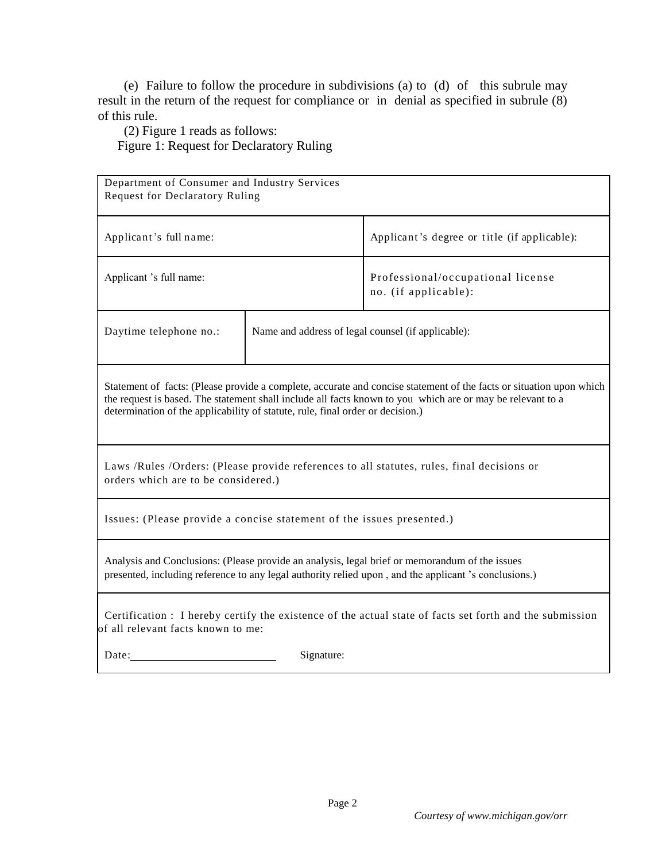(e) Failure to follow the procedure in subdivisions (a) to (d) of this subrule may result in the return of the request for compliance or in denial as specified in subrule (8) of this rule.

(2) Figure 1 reads as follows:

Figure 1: Request for Declaratory Ruling

| Department of Consumer and Industry Services<br><b>Request for Declaratory Ruling</b>                                                                                                                                                                                                                               |                                                    |                                                           |
|---------------------------------------------------------------------------------------------------------------------------------------------------------------------------------------------------------------------------------------------------------------------------------------------------------------------|----------------------------------------------------|-----------------------------------------------------------|
| Applicant's full name:                                                                                                                                                                                                                                                                                              |                                                    | Applicant's degree or title (if applicable):              |
| Applicant 's full name:                                                                                                                                                                                                                                                                                             |                                                    | Professional/occupational license<br>no. (if applicable): |
| Daytime telephone no.:                                                                                                                                                                                                                                                                                              | Name and address of legal counsel (if applicable): |                                                           |
| Statement of facts: (Please provide a complete, accurate and concise statement of the facts or situation upon which<br>the request is based. The statement shall include all facts known to you which are or may be relevant to a<br>determination of the applicability of statute, rule, final order or decision.) |                                                    |                                                           |
| Laws /Rules /Orders: (Please provide references to all statutes, rules, final decisions or<br>orders which are to be considered.)                                                                                                                                                                                   |                                                    |                                                           |
| Issues: (Please provide a concise statement of the issues presented.)                                                                                                                                                                                                                                               |                                                    |                                                           |
| Analysis and Conclusions: (Please provide an analysis, legal brief or memorandum of the issues<br>presented, including reference to any legal authority relied upon, and the applicant 's conclusions.)                                                                                                             |                                                    |                                                           |
| Certification : I hereby certify the existence of the actual state of facts set forth and the submission<br>of all relevant facts known to me:                                                                                                                                                                      |                                                    |                                                           |
| Date:                                                                                                                                                                                                                                                                                                               | Signature:                                         |                                                           |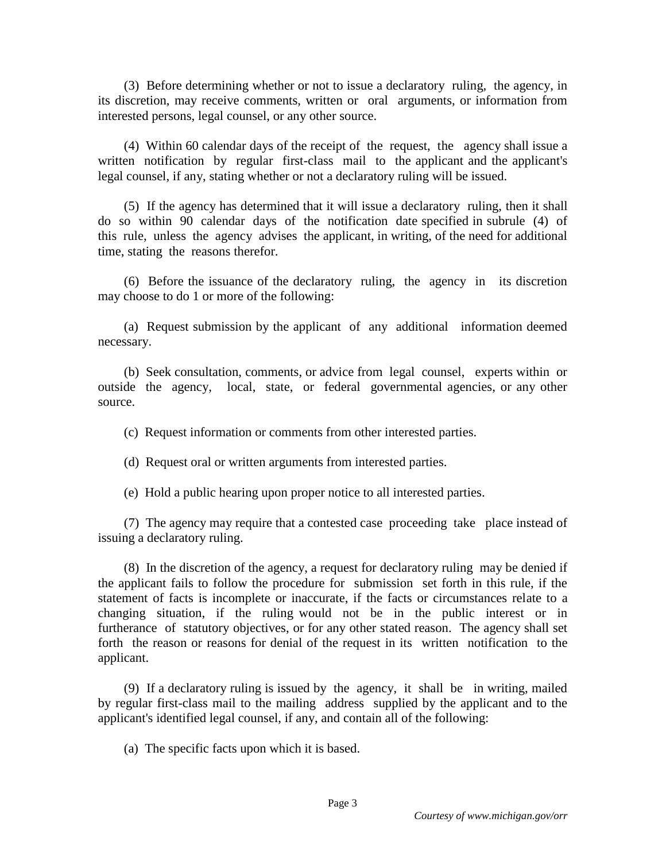(3) Before determining whether or not to issue a declaratory ruling, the agency, in its discretion, may receive comments, written or oral arguments, or information from interested persons, legal counsel, or any other source.

 (4) Within 60 calendar days of the receipt of the request, the agency shall issue a written notification by regular first-class mail to the applicant and the applicant's legal counsel, if any, stating whether or not a declaratory ruling will be issued.

 (5) If the agency has determined that it will issue a declaratory ruling, then it shall do so within 90 calendar days of the notification date specified in subrule (4) of this rule, unless the agency advises the applicant, in writing, of the need for additional time, stating the reasons therefor.

 (6) Before the issuance of the declaratory ruling, the agency in its discretion may choose to do 1 or more of the following:

 (a) Request submission by the applicant of any additional information deemed necessary.

 (b) Seek consultation, comments, or advice from legal counsel, experts within or outside the agency, local, state, or federal governmental agencies, or any other source.

(c) Request information or comments from other interested parties.

(d) Request oral or written arguments from interested parties.

(e) Hold a public hearing upon proper notice to all interested parties.

 (7) The agency may require that a contested case proceeding take place instead of issuing a declaratory ruling.

 (8) In the discretion of the agency, a request for declaratory ruling may be denied if the applicant fails to follow the procedure for submission set forth in this rule, if the statement of facts is incomplete or inaccurate, if the facts or circumstances relate to a changing situation, if the ruling would not be in the public interest or in furtherance of statutory objectives, or for any other stated reason. The agency shall set forth the reason or reasons for denial of the request in its written notification to the applicant.

 (9) If a declaratory ruling is issued by the agency, it shall be in writing, mailed by regular first-class mail to the mailing address supplied by the applicant and to the applicant's identified legal counsel, if any, and contain all of the following:

(a) The specific facts upon which it is based.